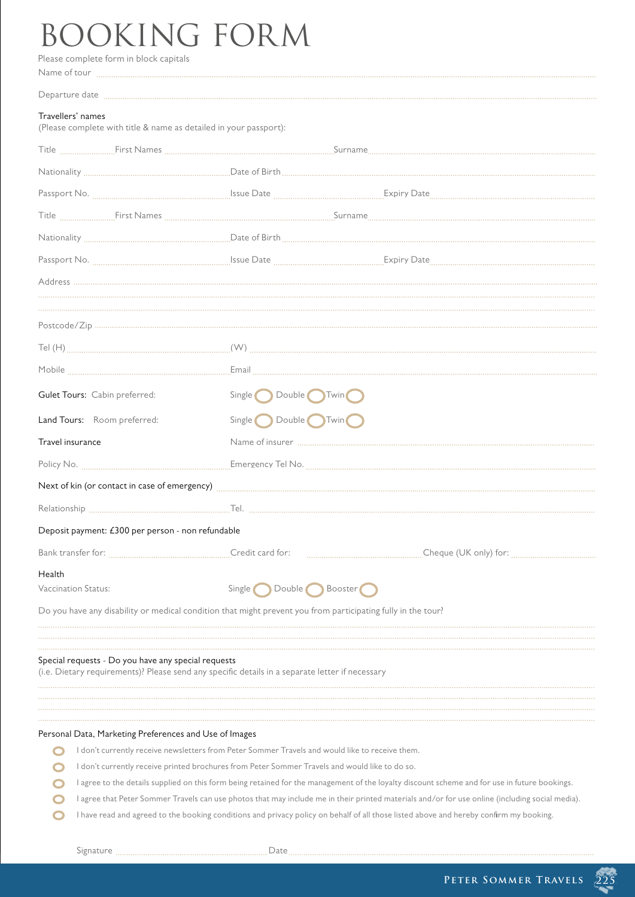## Please complete form in block capitals BOOKING FORM

|                                                                                                                                                        | Name of tour will allow the contract of the contract of the contract of the contract of the contract of the contract of the contract of the contract of the contract of the contract of the contract of the contract of the co |
|--------------------------------------------------------------------------------------------------------------------------------------------------------|--------------------------------------------------------------------------------------------------------------------------------------------------------------------------------------------------------------------------------|
|                                                                                                                                                        | Departure date manufacture communication communication contracto and all the contracto and all the contracto and announced and all the contracto and all the contracto and all the contracto and all the contracto and all the |
| Travellers' names<br>(Please complete with title & name as detailed in your passport):                                                                 |                                                                                                                                                                                                                                |
|                                                                                                                                                        |                                                                                                                                                                                                                                |
|                                                                                                                                                        |                                                                                                                                                                                                                                |
|                                                                                                                                                        |                                                                                                                                                                                                                                |
|                                                                                                                                                        |                                                                                                                                                                                                                                |
|                                                                                                                                                        |                                                                                                                                                                                                                                |
|                                                                                                                                                        |                                                                                                                                                                                                                                |
|                                                                                                                                                        |                                                                                                                                                                                                                                |
|                                                                                                                                                        |                                                                                                                                                                                                                                |
|                                                                                                                                                        |                                                                                                                                                                                                                                |
|                                                                                                                                                        |                                                                                                                                                                                                                                |
|                                                                                                                                                        |                                                                                                                                                                                                                                |
| Gulet Tours: Cabin preferred:                                                                                                                          | Double Twin<br>Single <sub>o</sub>                                                                                                                                                                                             |
| Land Tours: Room preferred:                                                                                                                            | Single Double Twin                                                                                                                                                                                                             |
| Travel insurance                                                                                                                                       |                                                                                                                                                                                                                                |
|                                                                                                                                                        |                                                                                                                                                                                                                                |
| Next of kin (or contact in case of emergency) <b>Entitled Structure Control</b> and Structure Contact in case of emergency)                            |                                                                                                                                                                                                                                |
|                                                                                                                                                        |                                                                                                                                                                                                                                |
| Deposit payment: £300 per person - non refundable                                                                                                      |                                                                                                                                                                                                                                |
|                                                                                                                                                        | Credit card for:                                                                                                                                                                                                               |
| Health                                                                                                                                                 |                                                                                                                                                                                                                                |
| Vaccination Status:                                                                                                                                    | Single Double Booster                                                                                                                                                                                                          |
| Do you have any disability or medical condition that might prevent you from participating fully in the tour?                                           |                                                                                                                                                                                                                                |
|                                                                                                                                                        |                                                                                                                                                                                                                                |
| Special requests - Do you have any special requests<br>(i.e. Dietary requirements)? Please send any specific details in a separate letter if necessary |                                                                                                                                                                                                                                |
|                                                                                                                                                        |                                                                                                                                                                                                                                |
| Personal Data, Marketing Preferences and Use of Images                                                                                                 |                                                                                                                                                                                                                                |
| I don't currently receive newsletters from Peter Sommer Travels and would like to receive them.                                                        |                                                                                                                                                                                                                                |
| I don't currently receive printed brochures from Peter Sommer Travels and would like to do so.                                                         |                                                                                                                                                                                                                                |
| I agree to the details supplied on this form being retained for the management of the loyalty discount scheme and for use in future bookings.          |                                                                                                                                                                                                                                |
| I agree that Peter Sommer Travels can use photos that may include me in their printed materials and/or for use online (including social media).        |                                                                                                                                                                                                                                |
| I have read and agreed to the booking conditions and privacy policy on behalf of all those listed above and hereby confirm my booking.                 |                                                                                                                                                                                                                                |